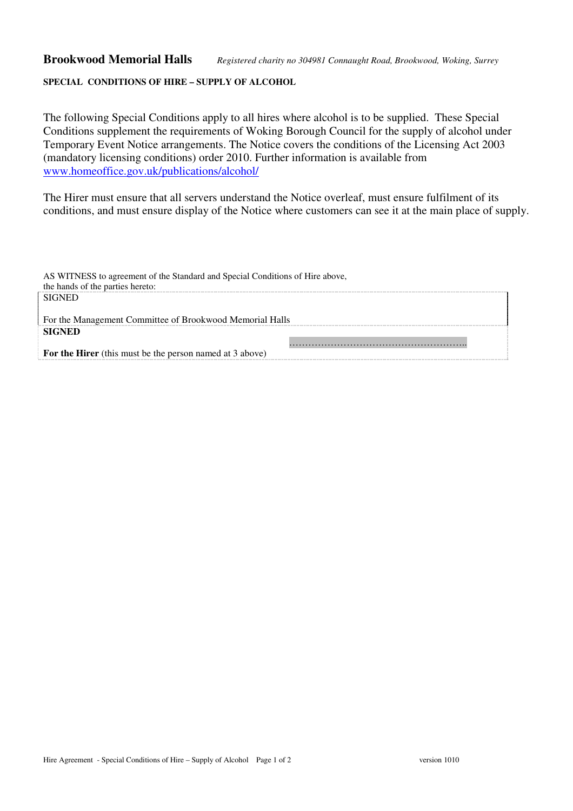## **SPECIAL CONDITIONS OF HIRE – SUPPLY OF ALCOHOL**

The following Special Conditions apply to all hires where alcohol is to be supplied. These Special Conditions supplement the requirements of Woking Borough Council for the supply of alcohol under Temporary Event Notice arrangements. The Notice covers the conditions of the Licensing Act 2003 (mandatory licensing conditions) order 2010. Further information is available from www.homeoffice.gov.uk/publications/alcohol/

The Hirer must ensure that all servers understand the Notice overleaf, must ensure fulfilment of its conditions, and must ensure display of the Notice where customers can see it at the main place of supply.

| AS WITNESS to agreement of the Standard and Special Conditions of Hire above, |  |
|-------------------------------------------------------------------------------|--|
| the hands of the parties hereto:                                              |  |
| <b>SIGNED</b>                                                                 |  |
|                                                                               |  |
| For the Management Committee of Brookwood Memorial Halls                      |  |
| <b>SIGNED</b>                                                                 |  |
|                                                                               |  |
| <b>For the Hirer</b> (this must be the person named at 3 above)               |  |
|                                                                               |  |